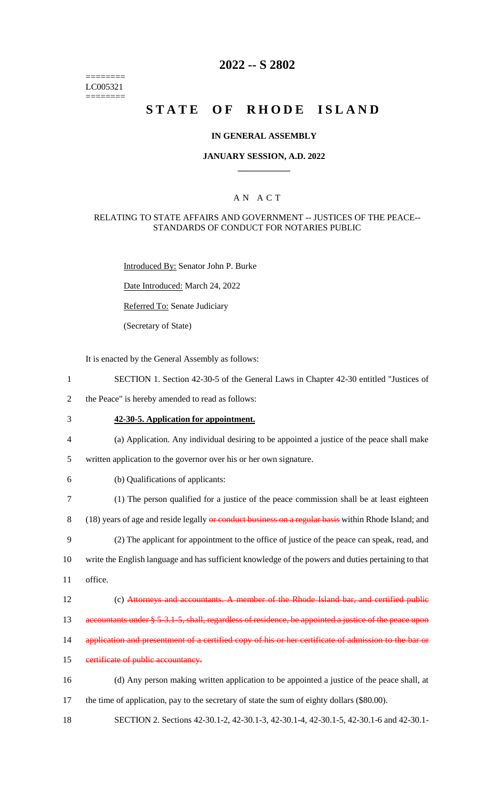$=$ LC005321 ========

## **2022 -- S 2802**

## **STATE OF RHODE ISLAND**

## **IN GENERAL ASSEMBLY**

## **JANUARY SESSION, A.D. 2022 \_\_\_\_\_\_\_\_\_\_\_\_**

## A N A C T

## RELATING TO STATE AFFAIRS AND GOVERNMENT -- JUSTICES OF THE PEACE-- STANDARDS OF CONDUCT FOR NOTARIES PUBLIC

Introduced By: Senator John P. Burke

Date Introduced: March 24, 2022

Referred To: Senate Judiciary

(Secretary of State)

It is enacted by the General Assembly as follows:

| $\mathbf{1}$   | SECTION 1. Section 42-30-5 of the General Laws in Chapter 42-30 entitled "Justices of                 |
|----------------|-------------------------------------------------------------------------------------------------------|
| $\sqrt{2}$     | the Peace" is hereby amended to read as follows:                                                      |
| 3              | 42-30-5. Application for appointment.                                                                 |
| $\overline{4}$ | (a) Application. Any individual desiring to be appointed a justice of the peace shall make            |
| 5              | written application to the governor over his or her own signature.                                    |
| 6              | (b) Qualifications of applicants:                                                                     |
| $\tau$         | (1) The person qualified for a justice of the peace commission shall be at least eighteen             |
| $\, 8$         | (18) years of age and reside legally or conduct business on a regular basis within Rhode Island; and  |
| 9              | (2) The applicant for appointment to the office of justice of the peace can speak, read, and          |
| 10             | write the English language and has sufficient knowledge of the powers and duties pertaining to that   |
| 11             | office.                                                                                               |
| 12             | (c) Attorneys and accountants. A member of the Rhode Island bar, and certified public                 |
| 13             | accountants under § 5-3.1-5, shall, regardless of residence, be appointed a justice of the peace upon |
| 14             | application and presentment of a certified copy of his or her certificate of admission to the bar or  |
| 15             | certificate of public accountancy.                                                                    |
| 16             | (d) Any person making written application to be appointed a justice of the peace shall, at            |
| 17             | the time of application, pay to the secretary of state the sum of eighty dollars (\$80.00).           |
| 18             | SECTION 2. Sections 42-30.1-2, 42-30.1-3, 42-30.1-4, 42-30.1-5, 42-30.1-6 and 42-30.1-                |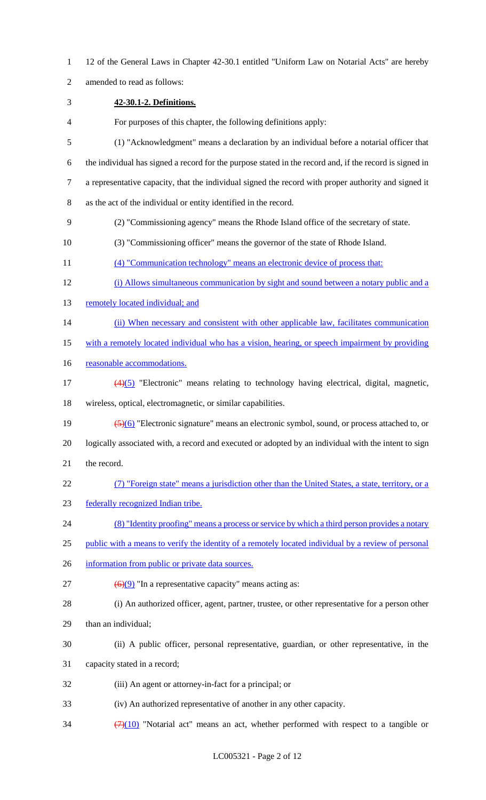12 of the General Laws in Chapter 42-30.1 entitled "Uniform Law on Notarial Acts" are hereby amended to read as follows: **42-30.1-2. Definitions.** For purposes of this chapter, the following definitions apply: (1) "Acknowledgment" means a declaration by an individual before a notarial officer that the individual has signed a record for the purpose stated in the record and, if the record is signed in a representative capacity, that the individual signed the record with proper authority and signed it as the act of the individual or entity identified in the record. (2) "Commissioning agency" means the Rhode Island office of the secretary of state. (3) "Commissioning officer" means the governor of the state of Rhode Island. (4) "Communication technology" means an electronic device of process that: (i) Allows simultaneous communication by sight and sound between a notary public and a 13 remotely located individual; and (ii) When necessary and consistent with other applicable law, facilitates communication 15 with a remotely located individual who has a vision, hearing, or speech impairment by providing 16 reasonable accommodations.  $\frac{(4)(5)}{2}$  "Electronic" means relating to technology having electrical, digital, magnetic, wireless, optical, electromagnetic, or similar capabilities. (5)(6) "Electronic signature" means an electronic symbol, sound, or process attached to, or logically associated with, a record and executed or adopted by an individual with the intent to sign the record. (7) "Foreign state" means a jurisdiction other than the United States, a state, territory, or a federally recognized Indian tribe. (8) "Identity proofing" means a process or service by which a third person provides a notary public with a means to verify the identity of a remotely located individual by a review of personal 26 information from public or private data sources.  $(6)(9)$  "In a representative capacity" means acting as: (i) An authorized officer, agent, partner, trustee, or other representative for a person other than an individual; (ii) A public officer, personal representative, guardian, or other representative, in the capacity stated in a record; (iii) An agent or attorney-in-fact for a principal; or (iv) An authorized representative of another in any other capacity.  $(7)(10)$  "Notarial act" means an act, whether performed with respect to a tangible or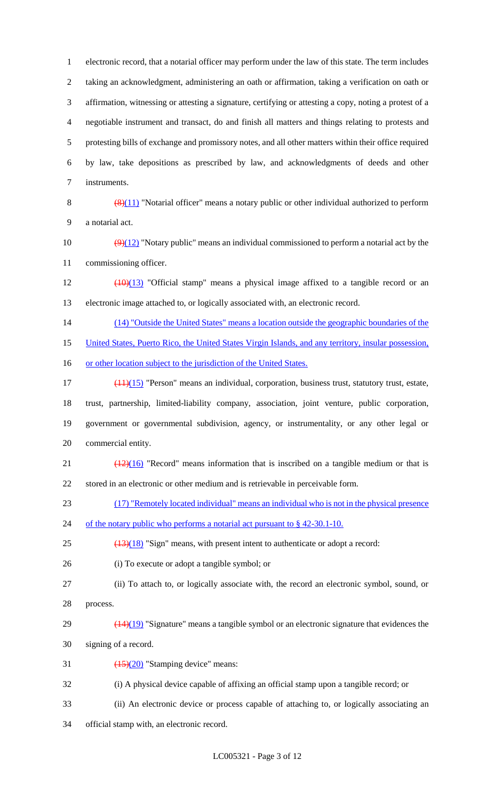electronic record, that a notarial officer may perform under the law of this state. The term includes taking an acknowledgment, administering an oath or affirmation, taking a verification on oath or affirmation, witnessing or attesting a signature, certifying or attesting a copy, noting a protest of a negotiable instrument and transact, do and finish all matters and things relating to protests and protesting bills of exchange and promissory notes, and all other matters within their office required by law, take depositions as prescribed by law, and acknowledgments of deeds and other instruments.

8  $\left(\frac{8}{11}\right)$  "Notarial officer" means a notary public or other individual authorized to perform a notarial act.

10  $\left(\frac{9}{12}\right)$  "Notary public" means an individual commissioned to perform a notarial act by the commissioning officer.

 $12 \left(10\right)(13)$  "Official stamp" means a physical image affixed to a tangible record or an electronic image attached to, or logically associated with, an electronic record.

(14) "Outside the United States" means a location outside the geographic boundaries of the

United States, Puerto Rico, the United States Virgin Islands, and any territory, insular possession,

16 or other location subject to the jurisdiction of the United States.

17 (11)(15) "Person" means an individual, corporation, business trust, statutory trust, estate, trust, partnership, limited-liability company, association, joint venture, public corporation, government or governmental subdivision, agency, or instrumentality, or any other legal or commercial entity.

21  $\left(\frac{(12)(16)}{2}\right)$  "Record" means information that is inscribed on a tangible medium or that is stored in an electronic or other medium and is retrievable in perceivable form.

(17) "Remotely located individual" means an individual who is not in the physical presence

24 of the notary public who performs a notarial act pursuant to § 42-30.1-10.

 $(13)(18)$  "Sign" means, with present intent to authenticate or adopt a record:

(i) To execute or adopt a tangible symbol; or

- (ii) To attach to, or logically associate with, the record an electronic symbol, sound, or process.
- 29  $\left(\frac{(14)(19)}{(14)(19)}\right)$  "Signature" means a tangible symbol or an electronic signature that evidences the signing of a record.
- 31  $\left(\frac{(15)}{(20)}\right)$  "Stamping device" means:
- (i) A physical device capable of affixing an official stamp upon a tangible record; or
- (ii) An electronic device or process capable of attaching to, or logically associating an
- official stamp with, an electronic record.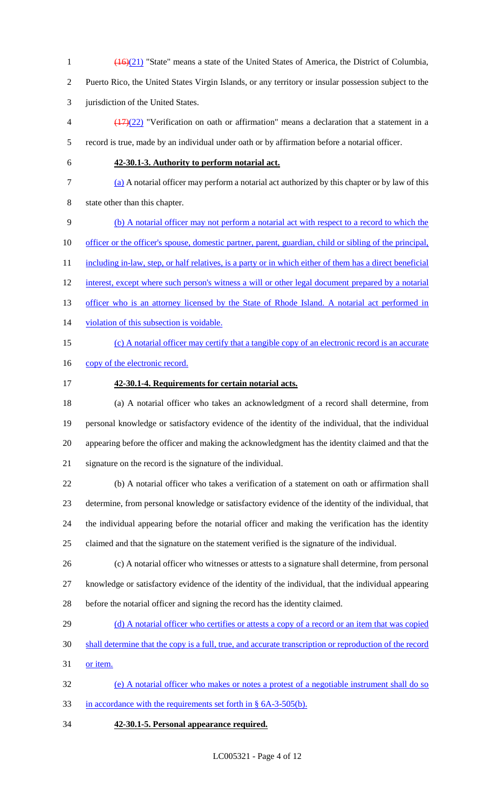$\left(16\right)(21)$  "State" means a state of the United States of America, the District of Columbia, Puerto Rico, the United States Virgin Islands, or any territory or insular possession subject to the jurisdiction of the United States.

 $\left(\frac{(17)}{(22)}\right)$  "Verification on oath or affirmation" means a declaration that a statement in a record is true, made by an individual under oath or by affirmation before a notarial officer.

## **42-30.1-3. Authority to perform notarial act.**

# (a) A notarial officer may perform a notarial act authorized by this chapter or by law of this

state other than this chapter.

(b) A notarial officer may not perform a notarial act with respect to a record to which the

10 officer or the officer's spouse, domestic partner, parent, guardian, child or sibling of the principal,

11 including in-law, step, or half relatives, is a party or in which either of them has a direct beneficial

interest, except where such person's witness a will or other legal document prepared by a notarial

- 13 officer who is an attorney licensed by the State of Rhode Island. A notarial act performed in
- violation of this subsection is voidable.
- 

## (c) A notarial officer may certify that a tangible copy of an electronic record is an accurate

- 16 copy of the electronic record.
- **42-30.1-4. Requirements for certain notarial acts.**

 (a) A notarial officer who takes an acknowledgment of a record shall determine, from personal knowledge or satisfactory evidence of the identity of the individual, that the individual appearing before the officer and making the acknowledgment has the identity claimed and that the signature on the record is the signature of the individual.

 (b) A notarial officer who takes a verification of a statement on oath or affirmation shall determine, from personal knowledge or satisfactory evidence of the identity of the individual, that the individual appearing before the notarial officer and making the verification has the identity claimed and that the signature on the statement verified is the signature of the individual.

- (c) A notarial officer who witnesses or attests to a signature shall determine, from personal knowledge or satisfactory evidence of the identity of the individual, that the individual appearing
- before the notarial officer and signing the record has the identity claimed.
- 29 (d) A notarial officer who certifies or attests a copy of a record or an item that was copied
- shall determine that the copy is a full, true, and accurate transcription or reproduction of the record
- or item.
- (e) A notarial officer who makes or notes a protest of a negotiable instrument shall do so
- in accordance with the requirements set forth in § 6A-3-505(b).
- **42-30.1-5. Personal appearance required.**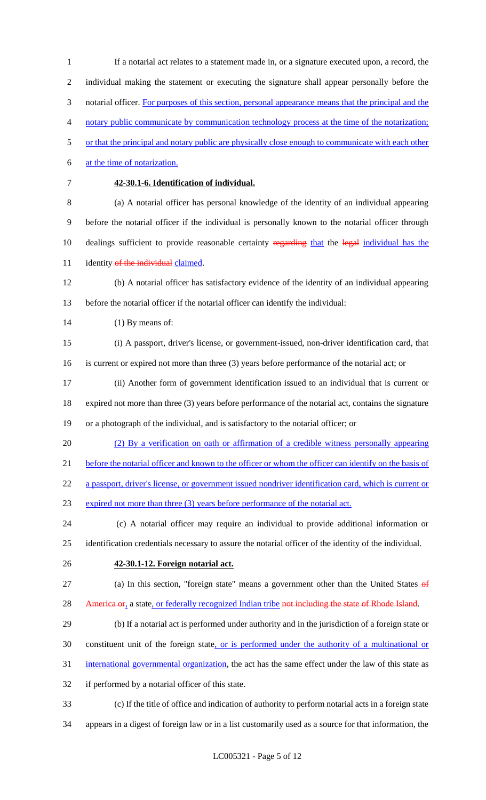If a notarial act relates to a statement made in, or a signature executed upon, a record, the individual making the statement or executing the signature shall appear personally before the 3 notarial officer. For purposes of this section, personal appearance means that the principal and the notary public communicate by communication technology process at the time of the notarization; or that the principal and notary public are physically close enough to communicate with each other at the time of notarization. **42-30.1-6. Identification of individual.** (a) A notarial officer has personal knowledge of the identity of an individual appearing before the notarial officer if the individual is personally known to the notarial officer through 10 dealings sufficient to provide reasonable certainty regarding that the legal individual has the 11 identity of the individual claimed. (b) A notarial officer has satisfactory evidence of the identity of an individual appearing before the notarial officer if the notarial officer can identify the individual: (1) By means of: (i) A passport, driver's license, or government-issued, non-driver identification card, that is current or expired not more than three (3) years before performance of the notarial act; or (ii) Another form of government identification issued to an individual that is current or expired not more than three (3) years before performance of the notarial act, contains the signature or a photograph of the individual, and is satisfactory to the notarial officer; or (2) By a verification on oath or affirmation of a credible witness personally appearing 21 before the notarial officer and known to the officer or whom the officer can identify on the basis of a passport, driver's license, or government issued nondriver identification card, which is current or 23 expired not more than three (3) years before performance of the notarial act. (c) A notarial officer may require an individual to provide additional information or identification credentials necessary to assure the notarial officer of the identity of the individual. **42-30.1-12. Foreign notarial act.** (a) In this section, "foreign state" means a government other than the United States of 28 America or, a state, or federally recognized Indian tribe not including the state of Rhode Island. (b) If a notarial act is performed under authority and in the jurisdiction of a foreign state or constituent unit of the foreign state, or is performed under the authority of a multinational or international governmental organization, the act has the same effect under the law of this state as if performed by a notarial officer of this state. (c) If the title of office and indication of authority to perform notarial acts in a foreign state

appears in a digest of foreign law or in a list customarily used as a source for that information, the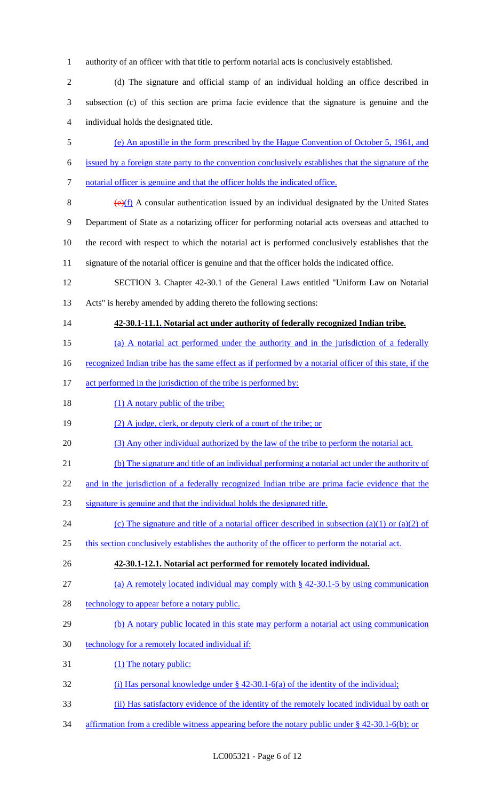authority of an officer with that title to perform notarial acts is conclusively established.

2 (d) The signature and official stamp of an individual holding an office described in subsection (c) of this section are prima facie evidence that the signature is genuine and the individual holds the designated title.

(e) An apostille in the form prescribed by the Hague Convention of October 5, 1961, and

- issued by a foreign state party to the convention conclusively establishes that the signature of the
- notarial officer is genuine and that the officer holds the indicated office.
- 

 $(e)(f)$  A consular authentication issued by an individual designated by the United States Department of State as a notarizing officer for performing notarial acts overseas and attached to the record with respect to which the notarial act is performed conclusively establishes that the signature of the notarial officer is genuine and that the officer holds the indicated office.

SECTION 3. Chapter 42-30.1 of the General Laws entitled "Uniform Law on Notarial

Acts" is hereby amended by adding thereto the following sections:

## **42-30.1-11.1. Notarial act under authority of federally recognized Indian tribe.**

(a) A notarial act performed under the authority and in the jurisdiction of a federally

16 recognized Indian tribe has the same effect as if performed by a notarial officer of this state, if the

- 17 act performed in the jurisdiction of the tribe is performed by:
- 18 (1) A notary public of the tribe;
- (2) A judge, clerk, or deputy clerk of a court of the tribe; or
- (3) Any other individual authorized by the law of the tribe to perform the notarial act.
- (b) The signature and title of an individual performing a notarial act under the authority of
- 22 and in the jurisdiction of a federally recognized Indian tribe are prima facie evidence that the
- signature is genuine and that the individual holds the designated title.
- 24 (c) The signature and title of a notarial officer described in subsection (a)(1) or (a)(2) of
- this section conclusively establishes the authority of the officer to perform the notarial act.
- **42-30.1-12.1. Notarial act performed for remotely located individual.**
- 27 (a) A remotely located individual may comply with § 42-30.1-5 by using communication
- 28 technology to appear before a notary public.
- 29 (b) A notary public located in this state may perform a notarial act using communication
- technology for a remotely located individual if:
- (1) The notary public:
- (i) Has personal knowledge under § 42-30.1-6(a) of the identity of the individual;
- (ii) Has satisfactory evidence of the identity of the remotely located individual by oath or
- affirmation from a credible witness appearing before the notary public under § 42-30.1-6(b); or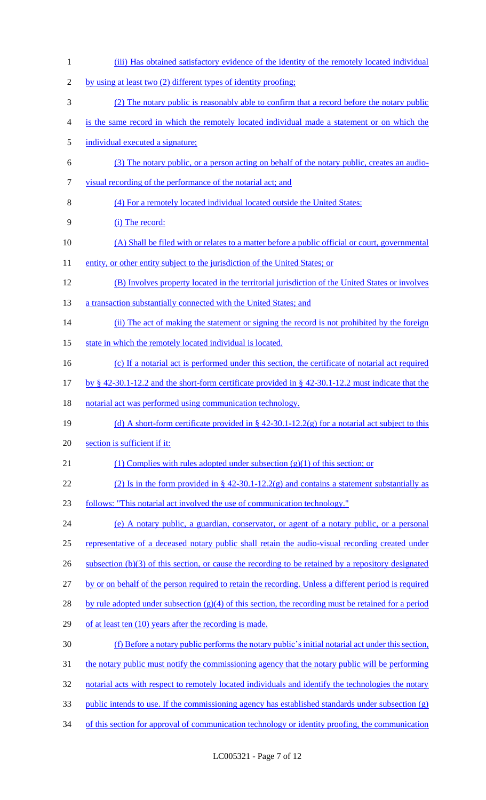1 (iii) Has obtained satisfactory evidence of the identity of the remotely located individual 2 by using at least two (2) different types of identity proofing; 3 (2) The notary public is reasonably able to confirm that a record before the notary public 4 is the same record in which the remotely located individual made a statement or on which the 5 individual executed a signature; 6 (3) The notary public, or a person acting on behalf of the notary public, creates an audio-7 visual recording of the performance of the notarial act; and 8 (4) For a remotely located individual located outside the United States: 9 (i) The record: 10 (A) Shall be filed with or relates to a matter before a public official or court, governmental 11 entity, or other entity subject to the jurisdiction of the United States; or 12 (B) Involves property located in the territorial jurisdiction of the United States or involves 13 a transaction substantially connected with the United States; and 14 (ii) The act of making the statement or signing the record is not prohibited by the foreign 15 state in which the remotely located individual is located. 16 (c) If a notarial act is performed under this section, the certificate of notarial act required 17 by § 42-30.1-12.2 and the short-form certificate provided in § 42-30.1-12.2 must indicate that the 18 notarial act was performed using communication technology. 19 (d) A short-form certificate provided in  $\S$  42-30.1-12.2(g) for a notarial act subject to this 20 section is sufficient if it: 21 (1) Complies with rules adopted under subsection  $(g)(1)$  of this section; or 22 (2) Is in the form provided in  $\S$  42-30.1-12.2(g) and contains a statement substantially as 23 follows: "This notarial act involved the use of communication technology." 24 (e) A notary public, a guardian, conservator, or agent of a notary public, or a personal 25 representative of a deceased notary public shall retain the audio-visual recording created under 26 subsection (b)(3) of this section, or cause the recording to be retained by a repository designated 27 by or on behalf of the person required to retain the recording. Unless a different period is required 28 by rule adopted under subsection  $(g)(4)$  of this section, the recording must be retained for a period 29 of at least ten (10) years after the recording is made. 30 (f) Before a notary public performs the notary public's initial notarial act under this section, 31 the notary public must notify the commissioning agency that the notary public will be performing 32 notarial acts with respect to remotely located individuals and identify the technologies the notary 33 public intends to use. If the commissioning agency has established standards under subsection (g) 34 of this section for approval of communication technology or identity proofing, the communication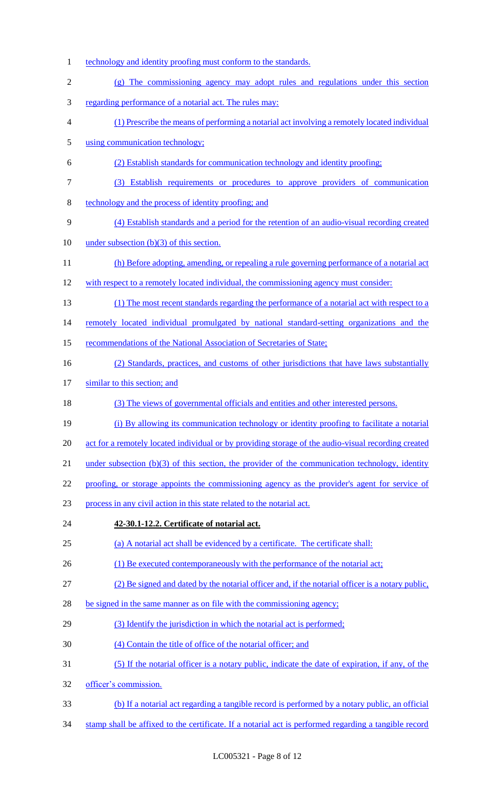1 technology and identity proofing must conform to the standards. (g) The commissioning agency may adopt rules and regulations under this section regarding performance of a notarial act. The rules may: (1) Prescribe the means of performing a notarial act involving a remotely located individual using communication technology; (2) Establish standards for communication technology and identity proofing; (3) Establish requirements or procedures to approve providers of communication technology and the process of identity proofing; and (4) Establish standards and a period for the retention of an audio-visual recording created 10 under subsection (b)(3) of this section. 11 (h) Before adopting, amending, or repealing a rule governing performance of a notarial act 12 with respect to a remotely located individual, the commissioning agency must consider: (1) The most recent standards regarding the performance of a notarial act with respect to a remotely located individual promulgated by national standard-setting organizations and the 15 recommendations of the National Association of Secretaries of State; 16 (2) Standards, practices, and customs of other jurisdictions that have laws substantially similar to this section; and (3) The views of governmental officials and entities and other interested persons. (i) By allowing its communication technology or identity proofing to facilitate a notarial 20 act for a remotely located individual or by providing storage of the audio-visual recording created 21 under subsection (b)(3) of this section, the provider of the communication technology, identity proofing, or storage appoints the commissioning agency as the provider's agent for service of process in any civil action in this state related to the notarial act. **42-30.1-12.2. Certificate of notarial act.** (a) A notarial act shall be evidenced by a certificate. The certificate shall: (1) Be executed contemporaneously with the performance of the notarial act; (2) Be signed and dated by the notarial officer and, if the notarial officer is a notary public, be signed in the same manner as on file with the commissioning agency; 29 (3) Identify the jurisdiction in which the notarial act is performed; (4) Contain the title of office of the notarial officer; and (5) If the notarial officer is a notary public, indicate the date of expiration, if any, of the officer's commission. (b) If a notarial act regarding a tangible record is performed by a notary public, an official stamp shall be affixed to the certificate. If a notarial act is performed regarding a tangible record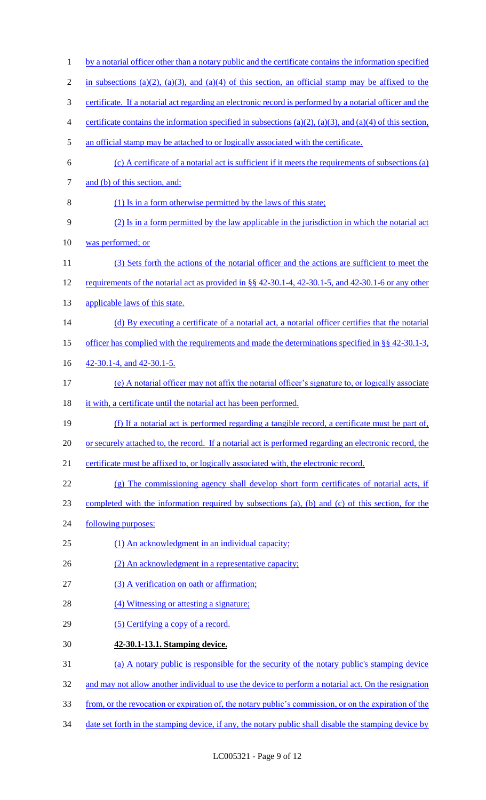| $\mathbf{1}$   | by a notarial officer other than a notary public and the certificate contains the information specified   |
|----------------|-----------------------------------------------------------------------------------------------------------|
| $\overline{2}$ | in subsections (a)(2), (a)(3), and (a)(4) of this section, an official stamp may be affixed to the        |
| 3              | certificate. If a notarial act regarding an electronic record is performed by a notarial officer and the  |
| 4              | certificate contains the information specified in subsections (a)(2), (a)(3), and (a)(4) of this section, |
| 5              | an official stamp may be attached to or logically associated with the certificate.                        |
| 6              | (c) A certificate of a notarial act is sufficient if it meets the requirements of subsections (a)         |
| 7              | and (b) of this section, and:                                                                             |
| 8              | (1) Is in a form otherwise permitted by the laws of this state;                                           |
| 9              | (2) Is in a form permitted by the law applicable in the jurisdiction in which the notarial act            |
| 10             | was performed; or                                                                                         |
| 11             | (3) Sets forth the actions of the notarial officer and the actions are sufficient to meet the             |
| 12             | requirements of the notarial act as provided in §§ 42-30.1-4, 42-30.1-5, and 42-30.1-6 or any other       |
| 13             | applicable laws of this state.                                                                            |
| 14             | (d) By executing a certificate of a notarial act, a notarial officer certifies that the notarial          |
| 15             | officer has complied with the requirements and made the determinations specified in $\S$ § 42-30.1-3,     |
| 16             | 42-30.1-4, and 42-30.1-5.                                                                                 |
| 17             | (e) A notarial officer may not affix the notarial officer's signature to, or logically associate          |
| 18             | it with, a certificate until the notarial act has been performed.                                         |
| 19             | (f) If a notarial act is performed regarding a tangible record, a certificate must be part of,            |
| 20             | or securely attached to, the record. If a notarial act is performed regarding an electronic record, the   |
| 21             | certificate must be affixed to, or logically associated with, the electronic record.                      |
| 22             | (g) The commissioning agency shall develop short form certificates of notarial acts, if                   |
| 23             | completed with the information required by subsections (a), (b) and (c) of this section, for the          |
| 24             | following purposes:                                                                                       |
| 25             | (1) An acknowledgment in an individual capacity;                                                          |
| 26             | (2) An acknowledgment in a representative capacity;                                                       |
| 27             | (3) A verification on oath or affirmation;                                                                |
| 28             | (4) Witnessing or attesting a signature;                                                                  |
| 29             | (5) Certifying a copy of a record.                                                                        |
| 30             | 42-30.1-13.1. Stamping device.                                                                            |
| 31             | (a) A notary public is responsible for the security of the notary public's stamping device                |
| 32             | and may not allow another individual to use the device to perform a notarial act. On the resignation      |
| 33             | from, or the revocation or expiration of, the notary public's commission, or on the expiration of the     |
| 34             | date set forth in the stamping device, if any, the notary public shall disable the stamping device by     |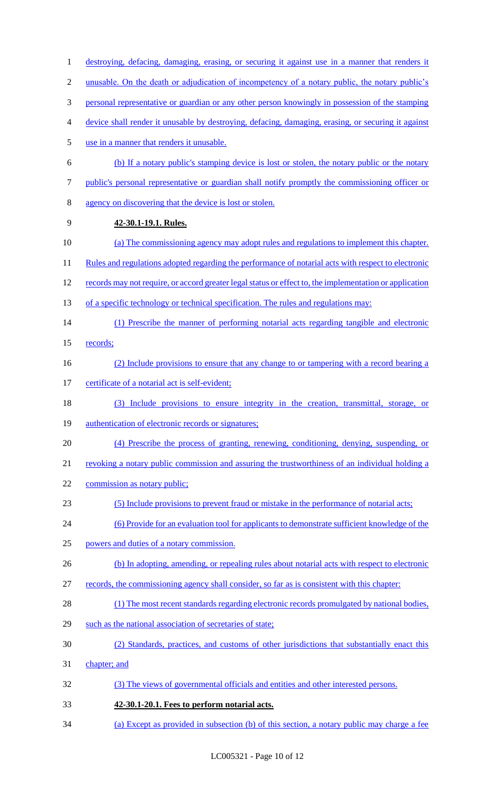destroying, defacing, damaging, erasing, or securing it against use in a manner that renders it unusable. On the death or adjudication of incompetency of a notary public, the notary public's personal representative or guardian or any other person knowingly in possession of the stamping device shall render it unusable by destroying, defacing, damaging, erasing, or securing it against use in a manner that renders it unusable. (b) If a notary public's stamping device is lost or stolen, the notary public or the notary public's personal representative or guardian shall notify promptly the commissioning officer or agency on discovering that the device is lost or stolen. **42-30.1-19.1. Rules.** (a) The commissioning agency may adopt rules and regulations to implement this chapter. 11 Rules and regulations adopted regarding the performance of notarial acts with respect to electronic 12 records may not require, or accord greater legal status or effect to, the implementation or application 13 of a specific technology or technical specification. The rules and regulations may: (1) Prescribe the manner of performing notarial acts regarding tangible and electronic records; 16 (2) Include provisions to ensure that any change to or tampering with a record bearing a 17 certificate of a notarial act is self-evident; (3) Include provisions to ensure integrity in the creation, transmittal, storage, or 19 authentication of electronic records or signatures; (4) Prescribe the process of granting, renewing, conditioning, denying, suspending, or revoking a notary public commission and assuring the trustworthiness of an individual holding a 22 commission as notary public; (5) Include provisions to prevent fraud or mistake in the performance of notarial acts; (6) Provide for an evaluation tool for applicants to demonstrate sufficient knowledge of the powers and duties of a notary commission. 26 (b) In adopting, amending, or repealing rules about notarial acts with respect to electronic records, the commissioning agency shall consider, so far as is consistent with this chapter: (1) The most recent standards regarding electronic records promulgated by national bodies, such as the national association of secretaries of state; (2) Standards, practices, and customs of other jurisdictions that substantially enact this chapter; and (3) The views of governmental officials and entities and other interested persons. **42-30.1-20.1. Fees to perform notarial acts.** (a) Except as provided in subsection (b) of this section, a notary public may charge a fee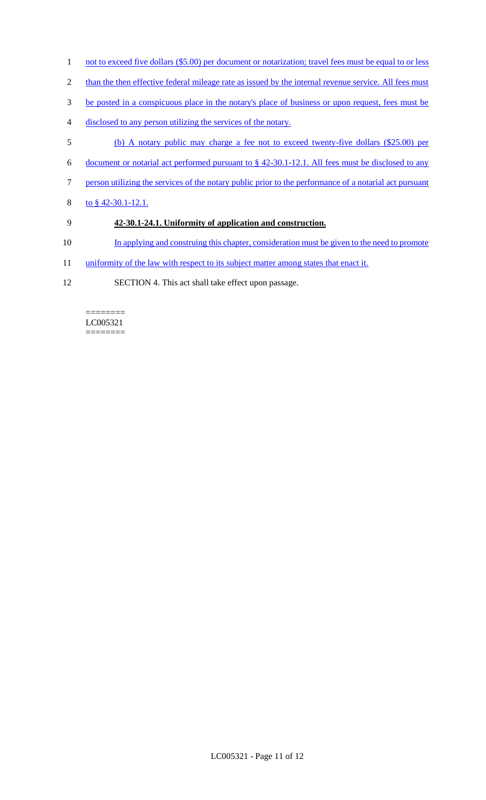- 1 not to exceed five dollars (\$5.00) per document or notarization; travel fees must be equal to or less
- 2 than the then effective federal mileage rate as issued by the internal revenue service. All fees must
- 3 be posted in a conspicuous place in the notary's place of business or upon request, fees must be
- 4 disclosed to any person utilizing the services of the notary.
- 5 (b) A notary public may charge a fee not to exceed twenty-five dollars (\$25.00) per
- 6 document or notarial act performed pursuant to § 42-30.1-12.1. All fees must be disclosed to any
- 7 person utilizing the services of the notary public prior to the performance of a notarial act pursuant
- 8 to § 42-30.1-12.1.

## 9 **42-30.1-24.1. Uniformity of application and construction.**

- 10 In applying and construing this chapter, consideration must be given to the need to promote
- 11 uniformity of the law with respect to its subject matter among states that enact it.
- 12 SECTION 4. This act shall take effect upon passage.

======== LC005321 ========